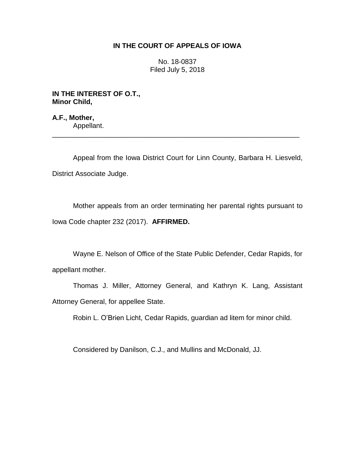## **IN THE COURT OF APPEALS OF IOWA**

No. 18-0837 Filed July 5, 2018

**IN THE INTEREST OF O.T., Minor Child,**

**A.F., Mother,** Appellant.

Appeal from the Iowa District Court for Linn County, Barbara H. Liesveld, District Associate Judge.

\_\_\_\_\_\_\_\_\_\_\_\_\_\_\_\_\_\_\_\_\_\_\_\_\_\_\_\_\_\_\_\_\_\_\_\_\_\_\_\_\_\_\_\_\_\_\_\_\_\_\_\_\_\_\_\_\_\_\_\_\_\_\_\_

Mother appeals from an order terminating her parental rights pursuant to Iowa Code chapter 232 (2017). **AFFIRMED.**

Wayne E. Nelson of Office of the State Public Defender, Cedar Rapids, for appellant mother.

Thomas J. Miller, Attorney General, and Kathryn K. Lang, Assistant Attorney General, for appellee State.

Robin L. O'Brien Licht, Cedar Rapids, guardian ad litem for minor child.

Considered by Danilson, C.J., and Mullins and McDonald, JJ.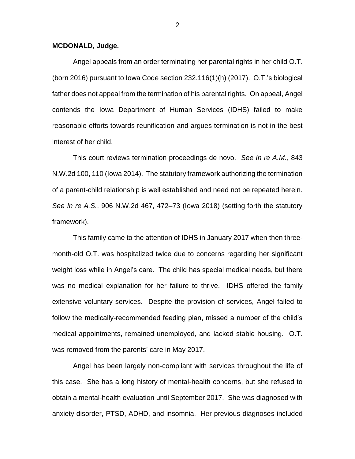## **MCDONALD, Judge.**

Angel appeals from an order terminating her parental rights in her child O.T. (born 2016) pursuant to Iowa Code section 232.116(1)(h) (2017). O.T.'s biological father does not appeal from the termination of his parental rights. On appeal, Angel contends the Iowa Department of Human Services (IDHS) failed to make reasonable efforts towards reunification and argues termination is not in the best interest of her child.

This court reviews termination proceedings de novo. *See In re A.M.*, 843 N.W.2d 100, 110 (Iowa 2014). The statutory framework authorizing the termination of a parent-child relationship is well established and need not be repeated herein. *See In re A.S.*, 906 N.W.2d 467, 472–73 (Iowa 2018) (setting forth the statutory framework).

This family came to the attention of IDHS in January 2017 when then threemonth-old O.T. was hospitalized twice due to concerns regarding her significant weight loss while in Angel's care. The child has special medical needs, but there was no medical explanation for her failure to thrive. IDHS offered the family extensive voluntary services. Despite the provision of services, Angel failed to follow the medically-recommended feeding plan, missed a number of the child's medical appointments, remained unemployed, and lacked stable housing. O.T. was removed from the parents' care in May 2017.

Angel has been largely non-compliant with services throughout the life of this case. She has a long history of mental-health concerns, but she refused to obtain a mental-health evaluation until September 2017. She was diagnosed with anxiety disorder, PTSD, ADHD, and insomnia. Her previous diagnoses included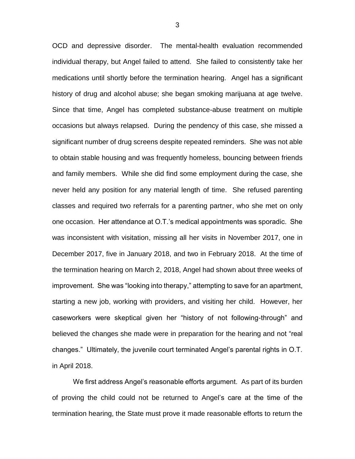OCD and depressive disorder. The mental-health evaluation recommended individual therapy, but Angel failed to attend. She failed to consistently take her medications until shortly before the termination hearing. Angel has a significant history of drug and alcohol abuse; she began smoking marijuana at age twelve. Since that time, Angel has completed substance-abuse treatment on multiple occasions but always relapsed. During the pendency of this case, she missed a significant number of drug screens despite repeated reminders. She was not able to obtain stable housing and was frequently homeless, bouncing between friends and family members. While she did find some employment during the case, she never held any position for any material length of time. She refused parenting classes and required two referrals for a parenting partner, who she met on only one occasion. Her attendance at O.T.'s medical appointments was sporadic. She was inconsistent with visitation, missing all her visits in November 2017, one in December 2017, five in January 2018, and two in February 2018. At the time of the termination hearing on March 2, 2018, Angel had shown about three weeks of improvement. She was "looking into therapy," attempting to save for an apartment, starting a new job, working with providers, and visiting her child. However, her caseworkers were skeptical given her "history of not following-through" and believed the changes she made were in preparation for the hearing and not "real changes." Ultimately, the juvenile court terminated Angel's parental rights in O.T. in April 2018.

We first address Angel's reasonable efforts argument. As part of its burden of proving the child could not be returned to Angel's care at the time of the termination hearing, the State must prove it made reasonable efforts to return the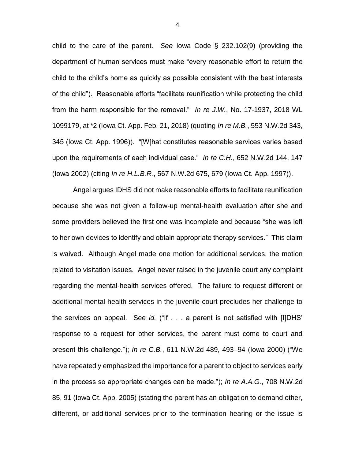child to the care of the parent. *See* Iowa Code § 232.102(9) (providing the department of human services must make "every reasonable effort to return the child to the child's home as quickly as possible consistent with the best interests of the child"). Reasonable efforts "facilitate reunification while protecting the child from the harm responsible for the removal." *In re J.W.*, No. 17-1937, 2018 WL 1099179, at \*2 (Iowa Ct. App. Feb. 21, 2018) (quoting *In re M.B.*, 553 N.W.2d 343, 345 (Iowa Ct. App. 1996)). "[W]hat constitutes reasonable services varies based upon the requirements of each individual case." *In re C.H.*, 652 N.W.2d 144, 147 (Iowa 2002) (citing *In re H.L.B.R.*, 567 N.W.2d 675, 679 (Iowa Ct. App. 1997)).

Angel argues IDHS did not make reasonable efforts to facilitate reunification because she was not given a follow-up mental-health evaluation after she and some providers believed the first one was incomplete and because "she was left to her own devices to identify and obtain appropriate therapy services." This claim is waived. Although Angel made one motion for additional services, the motion related to visitation issues. Angel never raised in the juvenile court any complaint regarding the mental-health services offered. The failure to request different or additional mental-health services in the juvenile court precludes her challenge to the services on appeal. See *id.* ("If . . . a parent is not satisfied with [I]DHS' response to a request for other services, the parent must come to court and present this challenge."); *In re C.B.*, 611 N.W.2d 489, 493–94 (Iowa 2000) ("We have repeatedly emphasized the importance for a parent to object to services early in the process so appropriate changes can be made."); *In re A.A.G.*, 708 N.W.2d 85, 91 (Iowa Ct. App. 2005) (stating the parent has an obligation to demand other, different, or additional services prior to the termination hearing or the issue is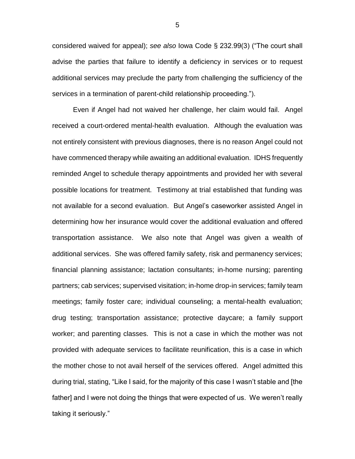considered waived for appeal); *see also* Iowa Code § 232.99(3) ("The court shall advise the parties that failure to identify a deficiency in services or to request additional services may preclude the party from challenging the sufficiency of the services in a termination of parent-child relationship proceeding.").

Even if Angel had not waived her challenge, her claim would fail. Angel received a court-ordered mental-health evaluation. Although the evaluation was not entirely consistent with previous diagnoses, there is no reason Angel could not have commenced therapy while awaiting an additional evaluation. IDHS frequently reminded Angel to schedule therapy appointments and provided her with several possible locations for treatment. Testimony at trial established that funding was not available for a second evaluation. But Angel's caseworker assisted Angel in determining how her insurance would cover the additional evaluation and offered transportation assistance. We also note that Angel was given a wealth of additional services. She was offered family safety, risk and permanency services; financial planning assistance; lactation consultants; in-home nursing; parenting partners; cab services; supervised visitation; in-home drop-in services; family team meetings; family foster care; individual counseling; a mental-health evaluation; drug testing; transportation assistance; protective daycare; a family support worker; and parenting classes. This is not a case in which the mother was not provided with adequate services to facilitate reunification, this is a case in which the mother chose to not avail herself of the services offered. Angel admitted this during trial, stating, "Like I said, for the majority of this case I wasn't stable and [the father] and I were not doing the things that were expected of us. We weren't really taking it seriously."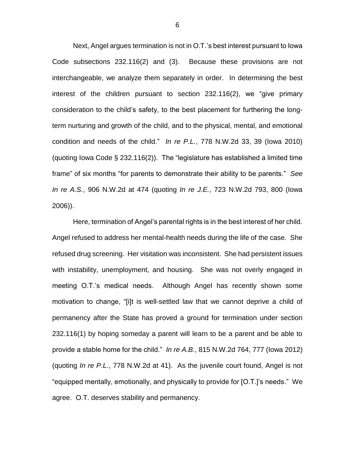Next, Angel argues termination is not in O.T.'s best interest pursuant to Iowa Code subsections 232.116(2) and (3). Because these provisions are not interchangeable, we analyze them separately in order. In determining the best interest of the children pursuant to section 232.116(2), we "give primary consideration to the child's safety, to the best placement for furthering the longterm nurturing and growth of the child, and to the physical, mental, and emotional condition and needs of the child." *In re P.L.*, 778 N.W.2d 33, 39 (Iowa 2010) (quoting Iowa Code § 232.116(2)). The "legislature has established a limited time frame" of six months "for parents to demonstrate their ability to be parents." *See In re A.S.*, 906 N.W.2d at 474 (quoting *In re J.E.*, 723 N.W.2d 793, 800 (Iowa 2006)).

Here, termination of Angel's parental rights is in the best interest of her child. Angel refused to address her mental-health needs during the life of the case. She refused drug screening. Her visitation was inconsistent. She had persistent issues with instability, unemployment, and housing. She was not overly engaged in meeting O.T.'s medical needs. Although Angel has recently shown some motivation to change, "[i]t is well-settled law that we cannot deprive a child of permanency after the State has proved a ground for termination under section 232.116(1) by hoping someday a parent will learn to be a parent and be able to provide a stable home for the child." *In re A.B.*, 815 N.W.2d 764, 777 (Iowa 2012) (quoting *In re P.L.*, 778 N.W.2d at 41). As the juvenile court found, Angel is not "equipped mentally, emotionally, and physically to provide for [O.T.]'s needs." We agree. O.T. deserves stability and permanency.

6